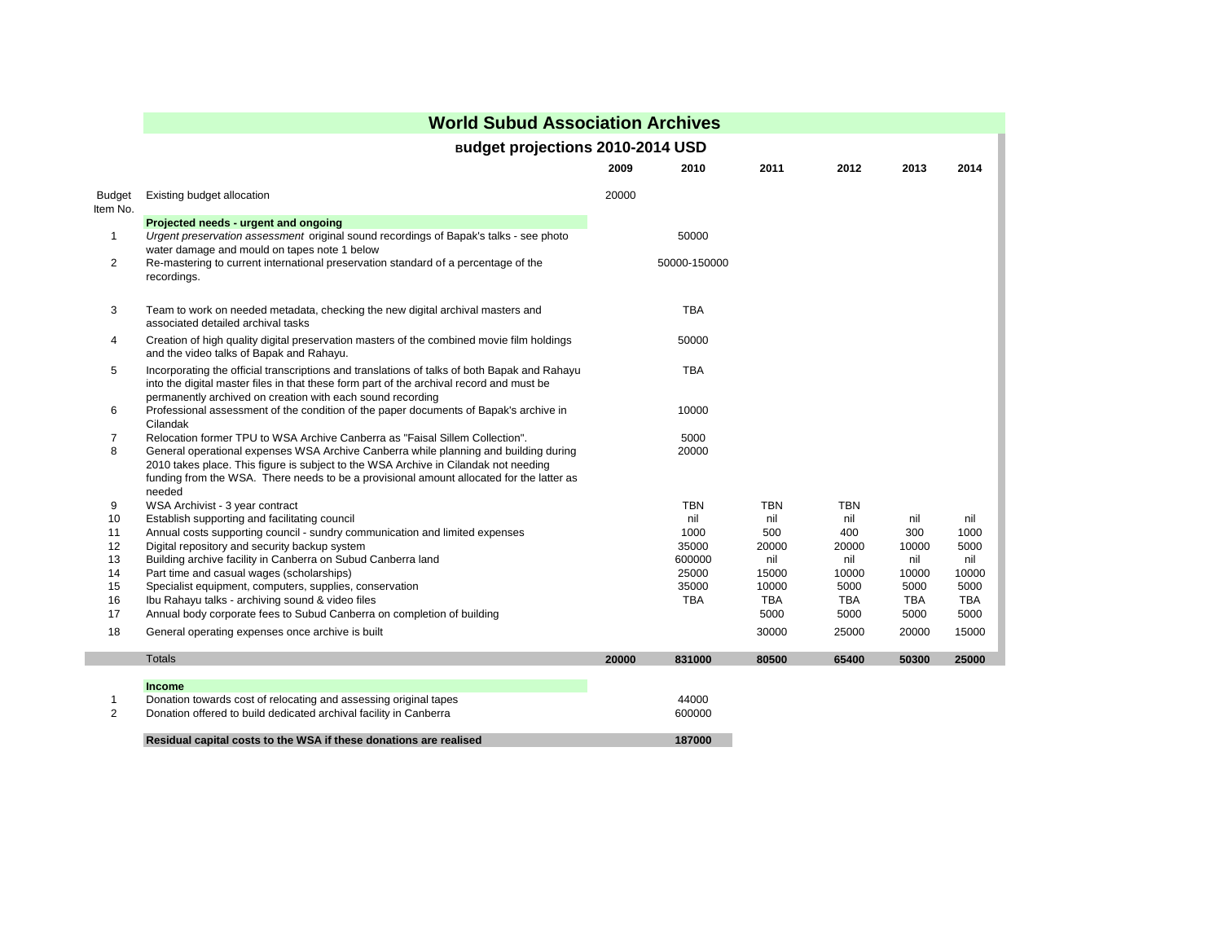|                    | <b>World Subud Association Archives</b><br><b>Budget projections 2010-2014 USD</b>                                                                                                                                                                                                |       |                     |                     |                    |                    |                    |  |
|--------------------|-----------------------------------------------------------------------------------------------------------------------------------------------------------------------------------------------------------------------------------------------------------------------------------|-------|---------------------|---------------------|--------------------|--------------------|--------------------|--|
|                    |                                                                                                                                                                                                                                                                                   |       |                     |                     |                    |                    |                    |  |
|                    |                                                                                                                                                                                                                                                                                   | 2009  | 2010                | 2011                | 2012               | 2013               | 2014               |  |
| Budget<br>Item No. | Existing budget allocation                                                                                                                                                                                                                                                        | 20000 |                     |                     |                    |                    |                    |  |
|                    | Projected needs - urgent and ongoing                                                                                                                                                                                                                                              |       |                     |                     |                    |                    |                    |  |
| $\mathbf{1}$       | Urgent preservation assessment original sound recordings of Bapak's talks - see photo<br>water damage and mould on tapes note 1 below                                                                                                                                             |       | 50000               |                     |                    |                    |                    |  |
| $\overline{2}$     | Re-mastering to current international preservation standard of a percentage of the<br>recordings.                                                                                                                                                                                 |       | 50000-150000        |                     |                    |                    |                    |  |
| 3                  | Team to work on needed metadata, checking the new digital archival masters and<br>associated detailed archival tasks                                                                                                                                                              |       | <b>TBA</b>          |                     |                    |                    |                    |  |
| 4                  | Creation of high quality digital preservation masters of the combined movie film holdings<br>and the video talks of Bapak and Rahayu.                                                                                                                                             |       | 50000               |                     |                    |                    |                    |  |
| 5                  | Incorporating the official transcriptions and translations of talks of both Bapak and Rahayu<br>into the digital master files in that these form part of the archival record and must be<br>permanently archived on creation with each sound recording                            |       | <b>TBA</b>          |                     |                    |                    |                    |  |
| 6                  | Professional assessment of the condition of the paper documents of Bapak's archive in<br>Cilandak                                                                                                                                                                                 |       | 10000               |                     |                    |                    |                    |  |
| 7                  | Relocation former TPU to WSA Archive Canberra as "Faisal Sillem Collection".                                                                                                                                                                                                      |       | 5000                |                     |                    |                    |                    |  |
| 8                  | General operational expenses WSA Archive Canberra while planning and building during<br>2010 takes place. This figure is subject to the WSA Archive in Cilandak not needing<br>funding from the WSA. There needs to be a provisional amount allocated for the latter as<br>needed |       | 20000               |                     |                    |                    |                    |  |
| 9                  | WSA Archivist - 3 year contract                                                                                                                                                                                                                                                   |       | <b>TBN</b>          | <b>TBN</b>          | <b>TBN</b>         |                    |                    |  |
| 10                 | Establish supporting and facilitating council                                                                                                                                                                                                                                     |       | nil                 | nil                 | nil                | nil                | nil                |  |
| 11                 | Annual costs supporting council - sundry communication and limited expenses                                                                                                                                                                                                       |       | 1000                | 500                 | 400                | 300                | 1000               |  |
| 12                 | Digital repository and security backup system                                                                                                                                                                                                                                     |       | 35000               | 20000               | 20000              | 10000              | 5000               |  |
| 13                 | Building archive facility in Canberra on Subud Canberra land                                                                                                                                                                                                                      |       | 600000              | nil                 | nil                | nil                | nil                |  |
| 14                 | Part time and casual wages (scholarships)                                                                                                                                                                                                                                         |       | 25000               | 15000               | 10000              | 10000              | 10000              |  |
| 15<br>16           | Specialist equipment, computers, supplies, conservation<br>Ibu Rahayu talks - archiving sound & video files                                                                                                                                                                       |       | 35000<br><b>TBA</b> | 10000<br><b>TBA</b> | 5000<br><b>TBA</b> | 5000<br><b>TBA</b> | 5000<br><b>TBA</b> |  |
| 17                 | Annual body corporate fees to Subud Canberra on completion of building                                                                                                                                                                                                            |       |                     | 5000                | 5000               | 5000               | 5000               |  |
| 18                 | General operating expenses once archive is built                                                                                                                                                                                                                                  |       |                     | 30000               | 25000              | 20000              | 15000              |  |
|                    | <b>Totals</b>                                                                                                                                                                                                                                                                     | 20000 | 831000              | 80500               | 65400              | 50300              | 25000              |  |
|                    | <b>Income</b>                                                                                                                                                                                                                                                                     |       |                     |                     |                    |                    |                    |  |
| $\mathbf 1$<br>2   | Donation towards cost of relocating and assessing original tapes<br>Donation offered to build dedicated archival facility in Canberra                                                                                                                                             |       | 44000<br>600000     |                     |                    |                    |                    |  |
|                    | Residual capital costs to the WSA if these donations are realised                                                                                                                                                                                                                 |       | 187000              |                     |                    |                    |                    |  |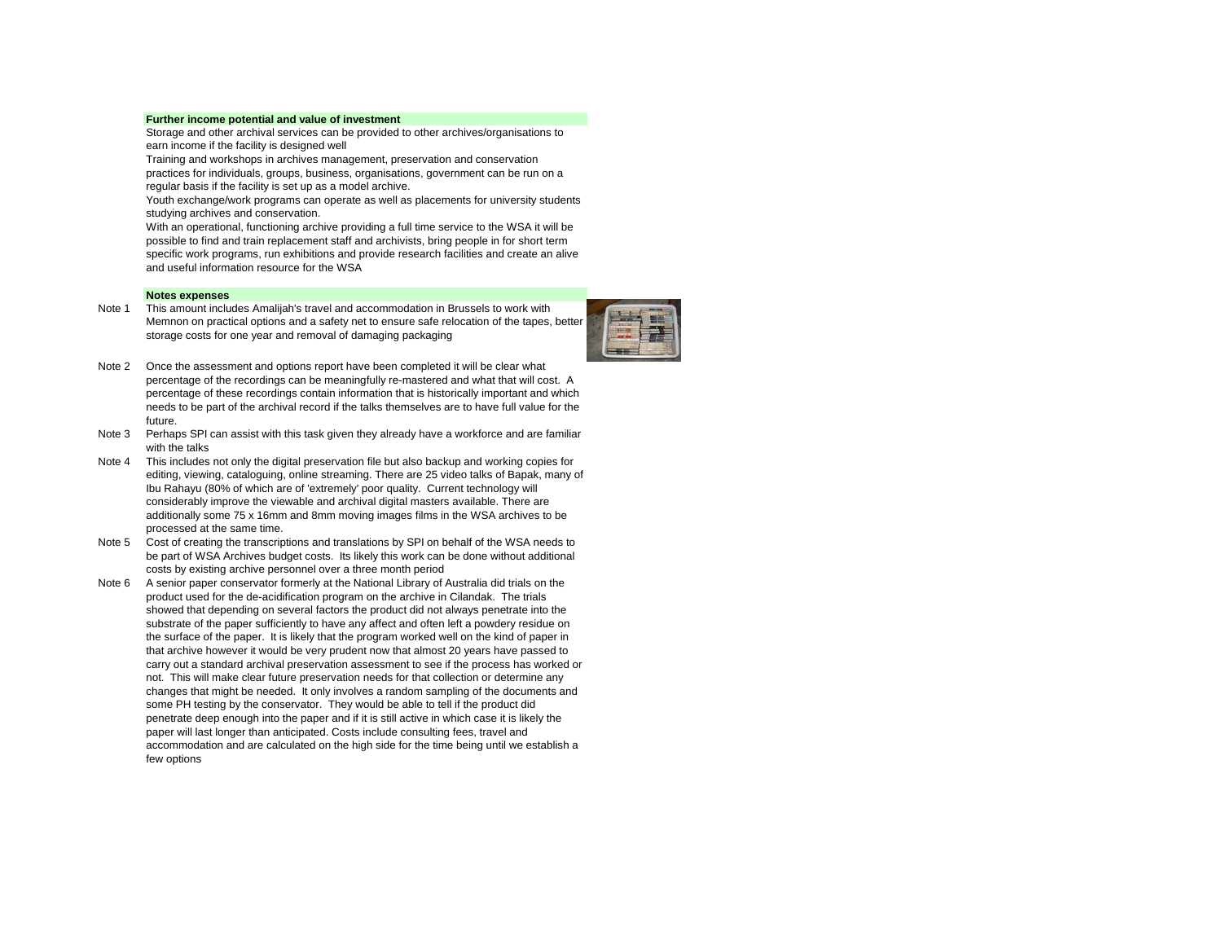## **Further income potential and value of investment**

Storage and other archival services can be provided to other archives/organisations to earn income if the facility is designed well

Training and workshops in archives management, preservation and conservation practices for individuals, groups, business, organisations, government can be run on a regular basis if the facility is set up as a model archive.

Youth exchange/work programs can operate as well as placements for university students studying archives and conservation.

With an operational, functioning archive providing a full time service to the WSA it will be possible to find and train replacement staff and archivists, bring people in for short term specific work programs, run exhibitions and provide research facilities and create an alive and useful information resource for the WSA

## **Notes expenses**

Note 1 This amount includes Amalijah's travel and accommodation in Brussels to work with Memnon on practical options and a safety net to ensure safe relocation of the tapes, better storage costs for one year and removal of damaging packaging



- Note 2 Once the assessment and options report have been completed it will be clear what percentage of the recordings can be meaningfully re-mastered and what that will cost. A percentage of these recordings contain information that is historically important and which needs to be part of the archival record if the talks themselves are to have full value for the future.
- Note 3 Perhaps SPI can assist with this task given they already have a workforce and are familiar with the talks
- Note 4 This includes not only the digital preservation file but also backup and working copies for editing, viewing, cataloguing, online streaming. There are 25 video talks of Bapak, many of Ibu Rahayu (80% of which are of 'extremely' poor quality. Current technology will considerably improve the viewable and archival digital masters available. There are additionally some 75 x 16mm and 8mm moving images films in the WSA archives to be processed at the same time.
- Note 5 Cost of creating the transcriptions and translations by SPI on behalf of the WSA needs to be part of WSA Archives budget costs. Its likely this work can be done without additional costs by existing archive personnel over a three month period
- Note 6 A senior paper conservator formerly at the National Library of Australia did trials on the product used for the de-acidification program on the archive in Cilandak. The trials showed that depending on several factors the product did not always penetrate into the substrate of the paper sufficiently to have any affect and often left a powdery residue on the surface of the paper. It is likely that the program worked well on the kind of paper in that archive however it would be very prudent now that almost 20 years have passed to carry out a standard archival preservation assessment to see if the process has worked or not. This will make clear future preservation needs for that collection or determine any changes that might be needed. It only involves a random sampling of the documents and some PH testing by the conservator. They would be able to tell if the product did penetrate deep enough into the paper and if it is still active in which case it is likely the paper will last longer than anticipated. Costs include consulting fees, travel and accommodation and are calculated on the high side for the time being until we establish a few options